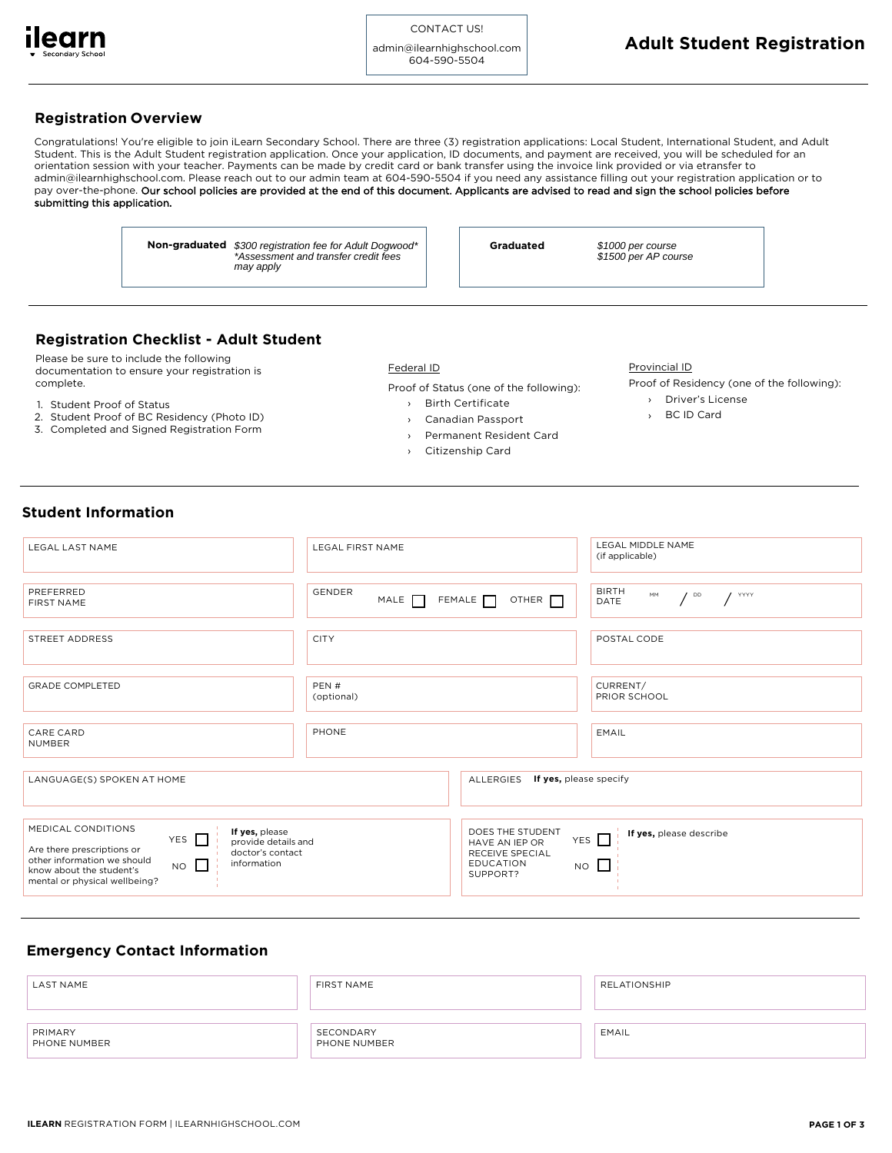

admin@ilearnhighschool.com 604-590-5504

# **Registration Overview**

Congratulations! You're eligible to join iLearn Secondary School. There are three (3) registration applications: Local Student, International Student, and Adult Student. This is the Adult Student registration application. Once your application, ID documents, and payment are received, you will be scheduled for an orientation session with your teacher. Payments can be made by credit card or bank transfer using the invoice link provided or via etransfer to admin@ilearnhighschool.com. Please reach out to our admin team at 604-590-5504 if you need any assistance filling out your registration application or to pay over-the-phone. Our school policies are provided at the end of this document. Applicants are advised to read and sign the school policies before submitting this application.

> **Non-graduated** \$300 registration fee for Adult Dogwood\* | **Graduated** \*Assessment and transfer credit fees may apply

\$1000 per course \$1500 per AP course

# **Registration Checklist - Adult Student**

Please be sure to include the following documentation to ensure your registration is complete.

- 1. Student Proof of Status
- 2. Student Proof of BC Residency (Photo ID)
- 3. Completed and Signed Registration Form

Federal ID

Proof of Status (one of the following):

- Birth Certificate
- ›››› Canadian Passport
- Permanent Resident Card
- Citizenship Card

Provincial ID

Proof of Residency (one of the following):

- ›› Driver's License BC ID Card
- 

# **Student Information**

| LEGAL LAST NAME                                                                                                                                                                                                                                       | <b>LEGAL FIRST NAME</b>              |                                                                                       | LEGAL MIDDLE NAME<br>(if applicable)                            |  |  |
|-------------------------------------------------------------------------------------------------------------------------------------------------------------------------------------------------------------------------------------------------------|--------------------------------------|---------------------------------------------------------------------------------------|-----------------------------------------------------------------|--|--|
|                                                                                                                                                                                                                                                       |                                      |                                                                                       |                                                                 |  |  |
| PREFERRED<br>FIRST NAME                                                                                                                                                                                                                               | <b>GENDER</b><br>MALE <sub>[1]</sub> | FEMALE<br>OTHER $\Box$                                                                | <b>BIRTH</b><br>MM<br>$\sqrt{20}$<br>$\frac{1}{2}$ YYYY<br>DATE |  |  |
|                                                                                                                                                                                                                                                       |                                      |                                                                                       |                                                                 |  |  |
| STREET ADDRESS                                                                                                                                                                                                                                        | <b>CITY</b>                          |                                                                                       | POSTAL CODE                                                     |  |  |
|                                                                                                                                                                                                                                                       |                                      |                                                                                       |                                                                 |  |  |
| <b>GRADE COMPLETED</b>                                                                                                                                                                                                                                | PEN#<br>(optional)                   |                                                                                       | CURRENT/<br>PRIOR SCHOOL                                        |  |  |
|                                                                                                                                                                                                                                                       |                                      |                                                                                       |                                                                 |  |  |
| CARE CARD<br><b>NUMBER</b>                                                                                                                                                                                                                            | PHONE                                |                                                                                       | EMAIL                                                           |  |  |
|                                                                                                                                                                                                                                                       |                                      |                                                                                       |                                                                 |  |  |
| LANGUAGE(S) SPOKEN AT HOME                                                                                                                                                                                                                            |                                      | ALLERGIES<br>If yes, please specify                                                   |                                                                 |  |  |
|                                                                                                                                                                                                                                                       |                                      |                                                                                       |                                                                 |  |  |
| MEDICAL CONDITIONS<br>If yes, please<br>YES $\Box$<br>provide details and<br>Are there prescriptions or<br>doctor's contact<br>other information we should<br>information<br>$NO$ $\Box$<br>know about the student's<br>mental or physical wellbeing? |                                      | DOES THE STUDENT<br>HAVE AN IEP OR<br>RECEIVE SPECIAL<br><b>EDUCATION</b><br>SUPPORT? | If yes, please describe<br>YES $\Box$<br>$NO$ $\Box$            |  |  |

# **Emergency Contact Information**

| <b>LAST NAME</b>        | FIRST NAME                | RELATIONSHIP |
|-------------------------|---------------------------|--------------|
| PRIMARY<br>PHONE NUMBER | SECONDARY<br>PHONE NUMBER | EMAIL        |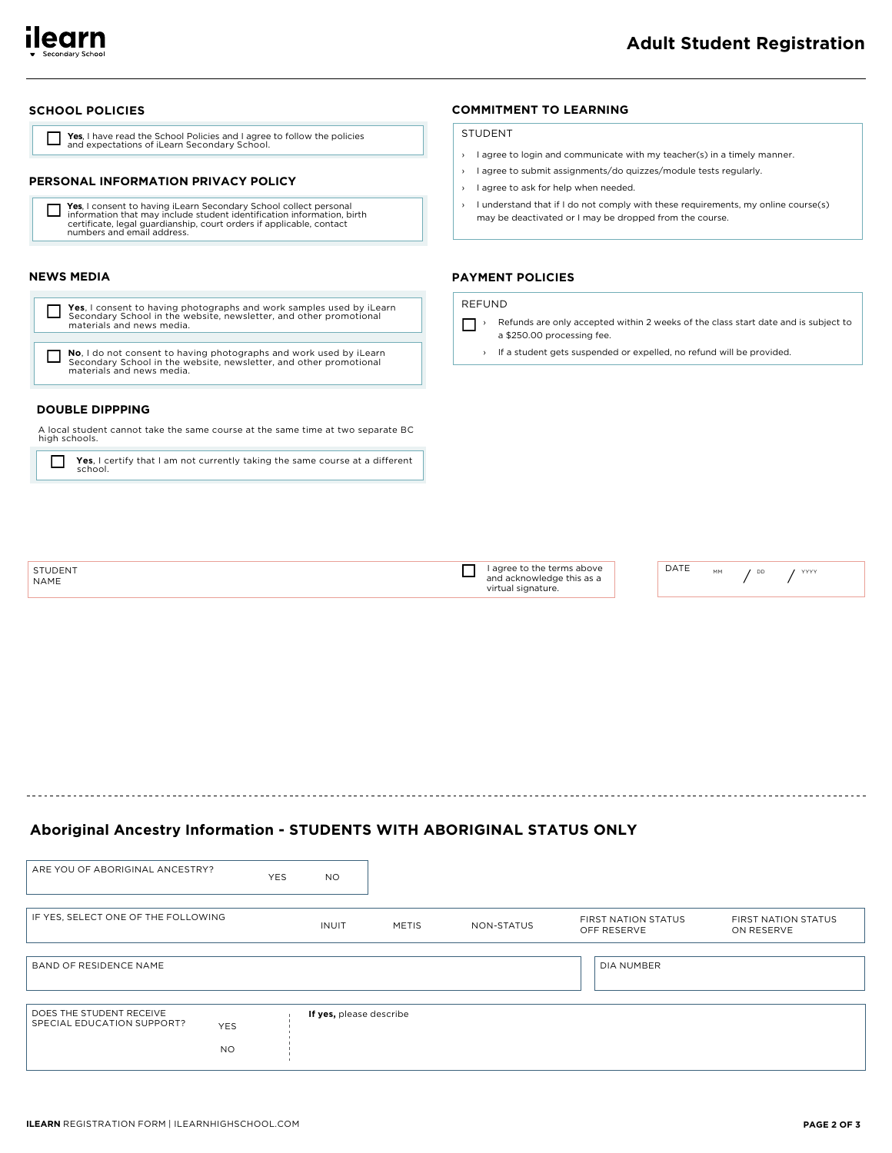

## **SCHOOL POLICIES**

**Tes**, I have read the School Policies and I agree to follow the policies and expectations of iLearn Secondary School.

#### PERSONAL INFORMATION PRIVACY POLICY

```
Yes, I consent to having iLearn Secondary School collect personal<br>information that may include student identification information, birth<br>certificate, legal guardianship, court orders if applicable, contact
□
          numbers and email address.
```
#### **NEWS MEDIA**

Yes, I consent to having photographs and work samples used by iLearn Secondary School in the website, newsletter, and other promotional materials and news media.

No, I do not consent to having photographs and work used by iLearn<br>Secondary School in the website, newsletter, and other promotional materials and news media.

# **DOUBLE DIPPPING**

A local student cannot take the same course at the same time at two separate BC high schools.

Yes, I certify that I am not currently taking the same course at a different  $\perp$ school.

### **COMMITMENT TO LEARNING**

#### **STUDENT**

- > I agree to login and communicate with my teacher(s) in a timely manner.
- > I agree to submit assignments/do quizzes/module tests regularly.
- > I agree to ask for help when needed.
- I understand that if I do not comply with these requirements, my online course(s) may be deactivated or I may be dropped from the course.

## **PAYMENT POLICIES**

# REFUND

- Refunds are only accepted within 2 weeks of the class start date and is subject to a \$250.00 processing fee.
	- > If a student gets suspended or expelled, no refund will be provided.

| <b>STUDENT</b><br><b>NAME</b> | I agree to the terms above<br>and acknowledge this as a | DATE | <br>MМ | YYYY |
|-------------------------------|---------------------------------------------------------|------|--------|------|
|                               | virtual signature.                                      |      |        |      |

# Aboriginal Ancestry Information - STUDENTS WITH ABORIGINAL STATUS ONLY

| ARE YOU OF ABORIGINAL ANCESTRY?                                                   | <b>YES</b> | <b>NO</b>               |              |            |                                           |                                          |
|-----------------------------------------------------------------------------------|------------|-------------------------|--------------|------------|-------------------------------------------|------------------------------------------|
| IF YES, SELECT ONE OF THE FOLLOWING                                               |            | <b>INUIT</b>            | <b>METIS</b> | NON-STATUS | <b>FIRST NATION STATUS</b><br>OFF RESERVE | <b>FIRST NATION STATUS</b><br>ON RESERVE |
| BAND OF RESIDENCE NAME                                                            |            |                         |              |            | DIA NUMBER                                |                                          |
| DOES THE STUDENT RECEIVE<br>SPECIAL EDUCATION SUPPORT?<br><b>YES</b><br><b>NO</b> |            | If yes, please describe |              |            |                                           |                                          |